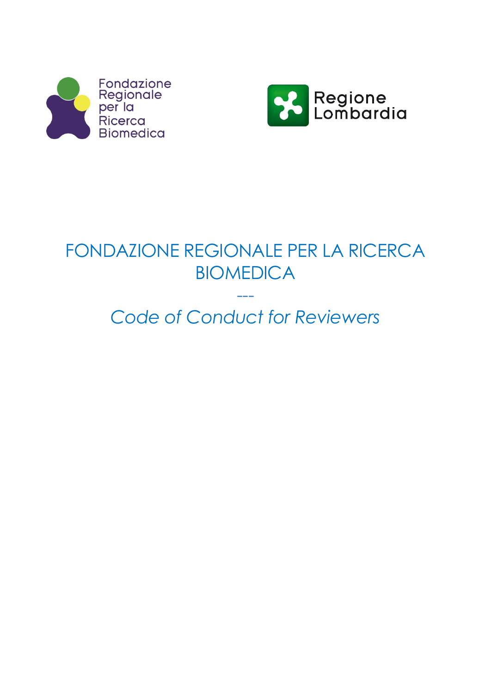



# FONDAZIONE REGIONALE PER LA RICERCA BIOMEDICA

# *Code of Conduct for Reviewers*

---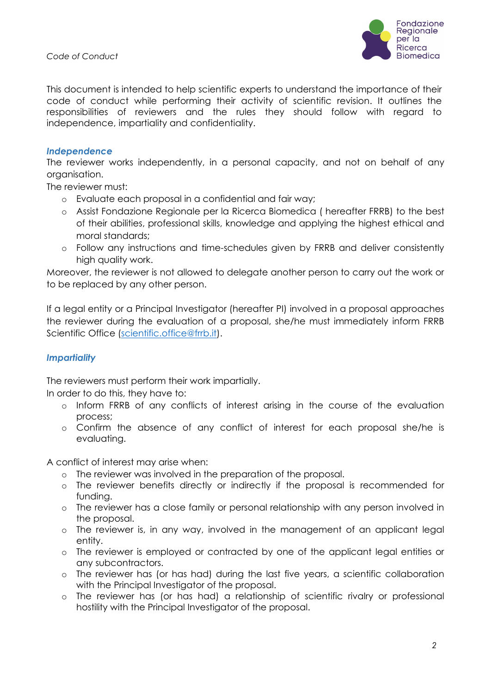*Code of Conduct*



This document is intended to help scientific experts to understand the importance of their code of conduct while performing their activity of scientific revision. It outlines the responsibilities of reviewers and the rules they should follow with regard to independence, impartiality and confidentiality.

#### *Independence*

The reviewer works independently, in a personal capacity, and not on behalf of any organisation.

The reviewer must:

- o Evaluate each proposal in a confidential and fair way;
- o Assist Fondazione Regionale per la Ricerca Biomedica ( hereafter FRRB) to the best of their abilities, professional skills, knowledge and applying the highest ethical and moral standards;
- o Follow any instructions and time-schedules given by FRRB and deliver consistently high quality work.

Moreover, the reviewer is not allowed to delegate another person to carry out the work or to be replaced by any other person.

If a legal entity or a Principal Investigator (hereafter PI) involved in a proposal approaches the reviewer during the evaluation of a proposal, she/he must immediately inform FRRB Scientific Office [\(scientific.office@frrb.it\)](mailto:scientific.office@frrb.it).

### *Impartiality*

The reviewers must perform their work impartially.

In order to do this, they have to:

- o Inform FRRB of any conflicts of interest arising in the course of the evaluation process;
- o Confirm the absence of any conflict of interest for each proposal she/he is evaluating.

A conflict of interest may arise when:

- o The reviewer was involved in the preparation of the proposal.
- o The reviewer benefits directly or indirectly if the proposal is recommended for funding.
- o The reviewer has a close family or personal relationship with any person involved in the proposal.
- o The reviewer is, in any way, involved in the management of an applicant legal entity.
- o The reviewer is employed or contracted by one of the applicant legal entities or any subcontractors.
- o The reviewer has (or has had) during the last five years, a scientific collaboration with the Principal Investigator of the proposal.
- o The reviewer has (or has had) a relationship of scientific rivalry or professional hostility with the Principal Investigator of the proposal.